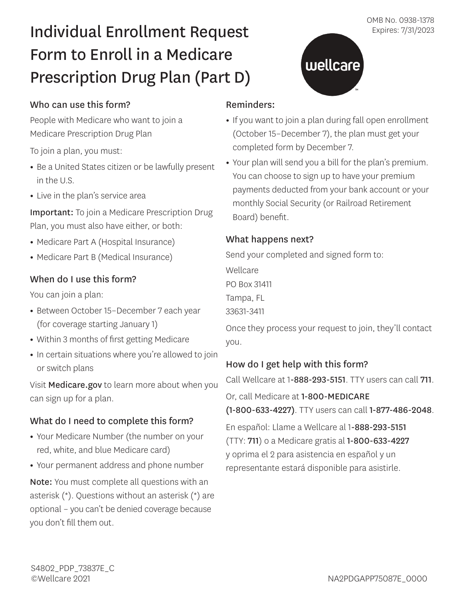# Individual Enrollment Request Expires: 7/31/2023 Form to Enroll in a Medicare Prescription Drug Plan (Part D)

# Who can use this form?

People with Medicare who want to join a Medicare Prescription Drug Plan

To join a plan, you must:

- Be a United States citizen or be lawfully present in the U.S.
- Live in the plan's service area

Important: To join a Medicare Prescription Drug Plan, you must also have either, or both:

- Medicare Part A (Hospital Insurance)
- Medicare Part B (Medical Insurance)

# When do I use this form?

You can join a plan:

- Between October 15–December 7 each year (for coverage starting January 1)
- Within 3 months of first getting Medicare
- In certain situations where you're allowed to join or switch plans

Visit Medicare.gov to learn more about when you can sign up for a plan.

# What do I need to complete this form?

- Your Medicare Number (the number on your red, white, and blue Medicare card)
- Your permanent address and phone number

Note: You must complete all questions with an asterisk (\*). Questions without an asterisk (\*) are optional – you can't be denied coverage because you don't fill them out.

#### Reminders:

**•** If you want to join a plan during fall open enrollment (October 15–December 7), the plan must get your completed form by December 7.

wellcare

**•** Your plan will send you a bill for the plan's premium. You can choose to sign up to have your premium payments deducted from your bank account or your monthly Social Security (or Railroad Retirement Board) benefit.

#### What happens next?

Send your completed and signed form to:

Wellcare PO Box 31411 Tampa, FL

33631-3411

Once they process your request to join, they'll contact you.

# How do I get help with this form?

Call Wellcare at 1-888-293-5151. TTY users can call 711.

Or, call Medicare at 1-800-MEDICARE

(1-800-633-4227). TTY users can call 1-877-486-2048.

En español: Llame a Wellcare al 1-888-293-5151 (TTY: 711) o a Medicare gratis al 1-800-633-4227 y oprima el 2 para asistencia en español y un representante estará disponible para asistirle.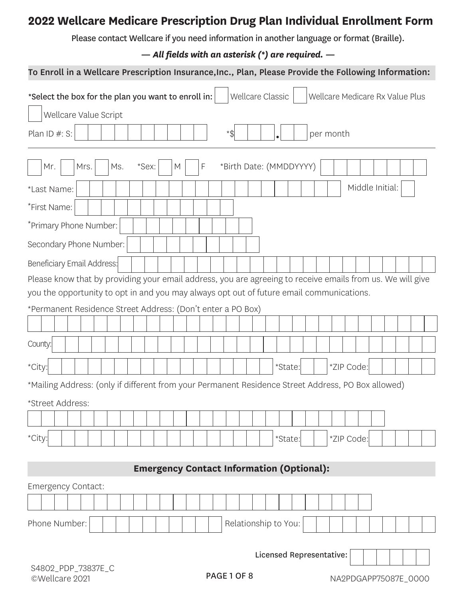# **2022 Wellcare Medicare Prescription Drug Plan Individual Enrollment Form**

Please contact Wellcare if you need information in another language or format (Braille).

*— All fields with an asterisk (\*) are required. —* 

|                                                                                          | To Enroll in a Wellcare Prescription Insurance, Inc., Plan, Please Provide the Following Information:      |
|------------------------------------------------------------------------------------------|------------------------------------------------------------------------------------------------------------|
| *Select the box for the plan you want to enroll in:                                      | <b>Wellcare Classic</b><br>Wellcare Medicare Rx Value Plus                                                 |
| Wellcare Value Script                                                                    |                                                                                                            |
| Plan ID #: S:                                                                            | *\$<br>per month                                                                                           |
| *Sex:<br>Mrs.<br>F<br>Mr.<br>Ms.<br>M                                                    | *Birth Date: (MMDDYYYY)                                                                                    |
| *Last Name:                                                                              | Middle Initial:                                                                                            |
| *First Name:                                                                             |                                                                                                            |
| *Primary Phone Number:                                                                   |                                                                                                            |
| Secondary Phone Number:                                                                  |                                                                                                            |
| Beneficiary Email Address:                                                               |                                                                                                            |
|                                                                                          | Please know that by providing your email address, you are agreeing to receive emails from us. We will give |
| you the opportunity to opt in and you may always opt out of future email communications. |                                                                                                            |
| *Permanent Residence Street Address: (Don't enter a PO Box)                              |                                                                                                            |
|                                                                                          |                                                                                                            |
| County:                                                                                  |                                                                                                            |
| *City:                                                                                   | *ZIP Code:<br>*State:                                                                                      |
|                                                                                          | *Mailing Address: (only if different from your Permanent Residence Street Address, PO Box allowed)         |
| *Street Address:                                                                         |                                                                                                            |
|                                                                                          |                                                                                                            |
| *City:                                                                                   | *ZIP Code:<br>*State:                                                                                      |
|                                                                                          |                                                                                                            |
|                                                                                          | <b>Emergency Contact Information (Optional):</b>                                                           |
| Emergency Contact:                                                                       |                                                                                                            |
|                                                                                          |                                                                                                            |
| Phone Number:                                                                            | Relationship to You:                                                                                       |
|                                                                                          | Licensed Representative:                                                                                   |
| S4802_PDP_73837E_C                                                                       |                                                                                                            |
| ©Wellcare 2021                                                                           | PAGE 1 OF 8<br>NA2PDGAPP75087E_0000                                                                        |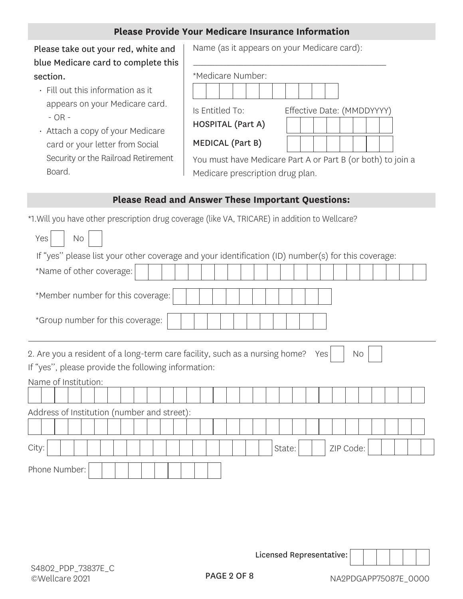#### **Please Provide Your Medicare Insurance Information**

Please take out your red, white and blue Medicare card to complete this section.

- $\cdot$  Fill out this information as it appears on your Medicare card. - OR -
- Attach a copy of your Medicare card or your letter from Social Security or the Railroad Retirement Board.

Name (as it appears on your Medicare card):

\_\_\_\_\_\_\_\_\_\_\_\_\_\_\_\_\_\_\_\_\_\_\_\_\_\_\_\_\_\_\_\_\_\_\_\_\_\_\_\_\_\_\_\_\_\_\_\_\_\_\_\_\_\_\_\_\_\_\_\_\_\_\_\_\_\_\_

| *Medicare Number: |  |  |  |  |  |  |
|-------------------|--|--|--|--|--|--|
|                   |  |  |  |  |  |  |

Is Entitled To: Eff

|  |  |  | fective Date: (MMDDYYYY` |  |
|--|--|--|--------------------------|--|
|  |  |  |                          |  |
|  |  |  |                          |  |
|  |  |  |                          |  |

MEDICAL (Part B)

HOSPITAL (Part A)

You must have Medicare Part A or Part B (or both) to join a Medicare prescription drug plan.

#### **Please Read and Answer These Important Questions:**

\*1.Will you have other prescription drug coverage (like VA, TRICARE) in addition to Wellcare?

L

| Yes<br><b>No</b>                                                                                                                                                        |
|-------------------------------------------------------------------------------------------------------------------------------------------------------------------------|
| If "yes" please list your other coverage and your identification (ID) number(s) for this coverage:                                                                      |
| *Name of other coverage:                                                                                                                                                |
| *Member number for this coverage:                                                                                                                                       |
| *Group number for this coverage:                                                                                                                                        |
| 2. Are you a resident of a long-term care facility, such as a nursing home?<br>Yes<br>No<br>If "yes", please provide the following information:<br>Name of Institution: |
|                                                                                                                                                                         |
| Address of Institution (number and street):                                                                                                                             |
|                                                                                                                                                                         |
| City:<br>ZIP Code:<br>State:                                                                                                                                            |
| Phone Number:                                                                                                                                                           |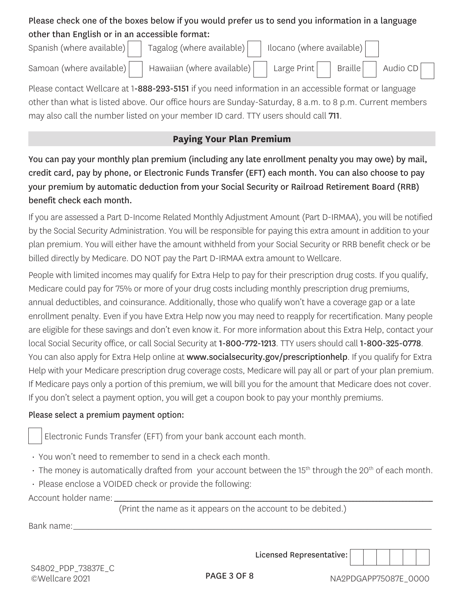# Please check one of the boxes below if you would prefer us to send you information in a language other than English or in an accessible format:

| Spanish (where available) | Tagalog (where available)     Ilocano (where available)                                         |  |  |                                           |  |
|---------------------------|-------------------------------------------------------------------------------------------------|--|--|-------------------------------------------|--|
|                           | Samoan (where available) $\vert$ Hawaiian (where available) $\vert$ Large Print $\vert$ $\vert$ |  |  | $\overline{\phantom{a}}$ Braille Audio CD |  |

Please contact Wellcare at 1-888-293-5151 if you need information in an accessible format or language other than what is listed above. Our office hours are Sunday-Saturday, 8 a.m. to 8 p.m. Current members may also call the number listed on your member ID card. TTY users should call 711.

# **Paying Your Plan Premium**

You can pay your monthly plan premium (including any late enrollment penalty you may owe) by mail, credit card, pay by phone, or Electronic Funds Transfer (EFT) each month. You can also choose to pay your premium by automatic deduction from your Social Security or Railroad Retirement Board (RRB) benefit check each month.

If you are assessed a Part D-Income Related Monthly Adjustment Amount (Part D-IRMAA), you will be notified by the Social Security Administration. You will be responsible for paying this extra amount in addition to your plan premium. You will either have the amount withheld from your Social Security or RRB benefit check or be billed directly by Medicare. DO NOT pay the Part D-IRMAA extra amount to Wellcare.

People with limited incomes may qualify for Extra Help to pay for their prescription drug costs. If you qualify, Medicare could pay for 75% or more of your drug costs including monthly prescription drug premiums, annual deductibles, and coinsurance. Additionally, those who qualify won't have a coverage gap or a late enrollment penalty. Even if you have Extra Help now you may need to reapply for recertification. Many people are eligible for these savings and don't even know it. For more information about this Extra Help, contact your local Social Security office, or call Social Security at 1-800-772-1213. TTY users should call 1-800-325-0778. You can also apply for Extra Help online at www.socialsecurity.gov/prescriptionhelp. If you qualify for Extra Help with your Medicare prescription drug coverage costs, Medicare will pay all or part of your plan premium. If Medicare pays only a portion of this premium, we will bill you for the amount that Medicare does not cover. If you don't select a payment option, you will get a coupon book to pay your monthly premiums.

#### Please select a premium payment option:

Electronic Funds Transfer (EFT) from your bank account each month.

- You won't need to remember to send in a check each month.
- $\cdot$  The money is automatically drafted from your account between the 15<sup>th</sup> through the 20<sup>th</sup> of each month.
- Please enclose a VOIDED check or provide the following:

Account holder name:

 \_\_\_\_\_\_\_\_\_\_\_\_\_\_\_\_\_\_\_\_\_\_\_\_\_\_\_\_\_\_\_\_\_\_\_\_\_\_\_\_\_\_\_\_\_\_\_\_\_\_\_\_\_\_\_\_\_\_\_\_\_\_\_\_\_\_\_\_\_\_\_\_\_\_\_\_\_\_\_\_\_\_\_\_\_\_\_\_\_\_\_\_\_\_\_\_ (Print the name as it appears on the account to be debited.)

\_\_\_\_\_\_\_\_\_\_\_\_\_\_\_\_\_\_\_\_\_\_\_\_\_\_\_\_\_\_\_\_\_\_\_\_\_\_\_\_\_\_\_\_\_\_\_\_\_\_\_\_\_\_\_\_\_\_\_\_\_\_\_\_\_\_\_\_\_\_\_\_\_\_\_\_\_\_\_\_\_\_\_\_\_\_\_\_\_\_\_\_\_\_\_\_\_\_\_\_\_\_\_\_\_\_\_\_\_\_\_\_\_\_\_\_\_ Bank name: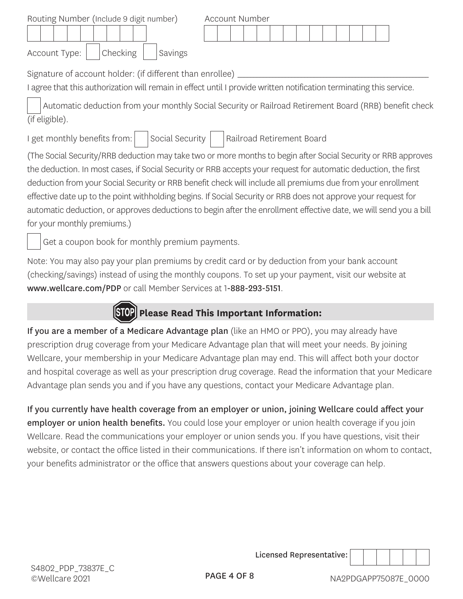| Routing Number (Include 9 digit number) |         | Account Number |  |  |  |  |  |  |  |
|-----------------------------------------|---------|----------------|--|--|--|--|--|--|--|
|                                         |         |                |  |  |  |  |  |  |  |
| Account Type:   Checking                | Savings |                |  |  |  |  |  |  |  |

\_\_\_\_\_\_\_\_\_\_\_\_\_\_\_\_\_\_\_\_\_\_\_\_\_\_\_\_\_\_\_\_\_\_\_\_\_\_\_\_\_\_\_\_\_\_\_\_\_\_\_\_\_\_\_\_\_\_\_\_ Signature of account holder: (if different than enrollee)

I agree that this authorization will remain in effect until I provide written notification terminating this service.

Automatic deduction from your monthly Social Security or Railroad Retirement Board (RRB) benefit check (if eligible).

I get monthly benefits from:  $\vert \quad \vert$  Social Security  $\vert \quad \vert$  Railroad Retirement Board

(The Social Security/RRB deduction may take two or more months to begin after Social Security or RRB approves the deduction. In most cases, if Social Security or RRB accepts your request for automatic deduction, the first deduction from your Social Security or RRB benefit check will include all premiums due from your enrollment effective date up to the point withholding begins. If Social Security or RRB does not approve your request for automatic deduction, or approves deductions to begin after the enrollment effective date, we will send you a bill for your monthly premiums.)

Get a coupon book for monthly premium payments.

Note: You may also pay your plan premiums by credit card or by deduction from your bank account (checking/savings) instead of using the monthly coupons. To set up your payment, visit our website at www.wellcare.com/PDP or call Member Services at 1-888-293-5151.



If you are a member of a Medicare Advantage plan (like an HMO or PPO), you may already have prescription drug coverage from your Medicare Advantage plan that will meet your needs. By joining Wellcare, your membership in your Medicare Advantage plan may end. This will affect both your doctor and hospital coverage as well as your prescription drug coverage. Read the information that your Medicare Advantage plan sends you and if you have any questions, contact your Medicare Advantage plan.

If you currently have health coverage from an employer or union, joining Wellcare could affect your employer or union health benefits. You could lose your employer or union health coverage if you join Wellcare. Read the communications your employer or union sends you. If you have questions, visit their website, or contact the office listed in their communications. If there isn't information on whom to contact, your benefits administrator or the office that answers questions about your coverage can help.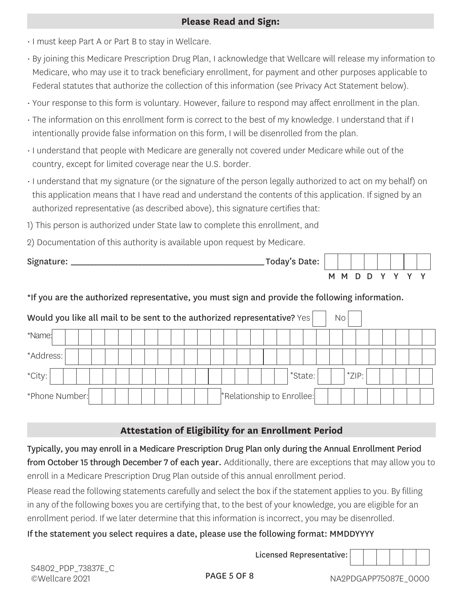#### **Please Read and Sign:**

- I must keep Part A or Part B to stay in Wellcare.
- By joining this Medicare Prescription Drug Plan, I acknowledge that Wellcare will release my information to Medicare, who may use it to track beneficiary enrollment, for payment and other purposes applicable to Federal statutes that authorize the collection of this information (see Privacy Act Statement below).
- Your response to this form is voluntary. However, failure to respond may affect enrollment in the plan.
- The information on this enrollment form is correct to the best of my knowledge. I understand that if I intentionally provide false information on this form, I will be disenrolled from the plan.
- I understand that people with Medicare are generally not covered under Medicare while out of the country, except for limited coverage near the U.S. border.
- I understand that my signature (or the signature of the person legally authorized to act on my behalf) on this application means that I have read and understand the contents of this application. If signed by an authorized representative (as described above), this signature certifies that:
- 1) This person is authorized under State law to complete this enrollment, and
- 2) Documentation of this authority is available upon request by Medicare.

| Signature: | Today's Date: |  |  |           |   |  |
|------------|---------------|--|--|-----------|---|--|
|            |               |  |  | M M D D Y | v |  |

### \*If you are the authorized representative, you must sign and provide the following information.

| Would you like all mail to be sent to the authorized representative? Yes |  |  |  |  |  |  |                            |  |  |         | No |       |  |  |  |
|--------------------------------------------------------------------------|--|--|--|--|--|--|----------------------------|--|--|---------|----|-------|--|--|--|
| *Name:                                                                   |  |  |  |  |  |  |                            |  |  |         |    |       |  |  |  |
| *Address: 1                                                              |  |  |  |  |  |  |                            |  |  |         |    |       |  |  |  |
| *City:                                                                   |  |  |  |  |  |  |                            |  |  | *State: |    | *ZIP: |  |  |  |
| *Phone Number:                                                           |  |  |  |  |  |  | *Relationship to Enrollee: |  |  |         |    |       |  |  |  |

# **Attestation of Eligibility for an Enrollment Period**

Typically, you may enroll in a Medicare Prescription Drug Plan only during the Annual Enrollment Period from October 15 through December 7 of each year. Additionally, there are exceptions that may allow you to enroll in a Medicare Prescription Drug Plan outside of this annual enrollment period.

Please read the following statements carefully and select the box if the statement applies to you. By filling in any of the following boxes you are certifying that, to the best of your knowledge, you are eligible for an enrollment period. If we later determine that this information is incorrect, you may be disenrolled.

# If the statement you select requires a date, please use the following format: MMDDYYYY

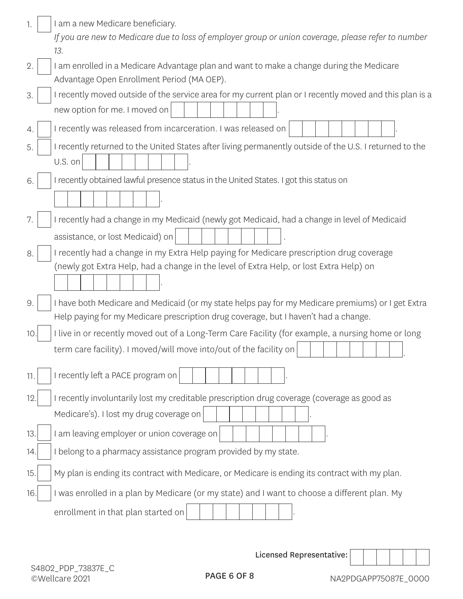| 1.  | I am a new Medicare beneficiary.<br>If you are new to Medicare due to loss of employer group or union coverage, please refer to number<br>13.                                            |
|-----|------------------------------------------------------------------------------------------------------------------------------------------------------------------------------------------|
| 2.  | I am enrolled in a Medicare Advantage plan and want to make a change during the Medicare<br>Advantage Open Enrollment Period (MA OEP).                                                   |
| 3.  | I recently moved outside of the service area for my current plan or I recently moved and this plan is a<br>new option for me. I moved on                                                 |
| 4.  | I recently was released from incarceration. I was released on                                                                                                                            |
| 5.  | I recently returned to the United States after living permanently outside of the U.S. I returned to the<br>U.S. on                                                                       |
| 6.  | I recently obtained lawful presence status in the United States. I got this status on                                                                                                    |
| 7.  | I recently had a change in my Medicaid (newly got Medicaid, had a change in level of Medicaid<br>assistance, or lost Medicaid) on                                                        |
| 8.  | I recently had a change in my Extra Help paying for Medicare prescription drug coverage<br>(newly got Extra Help, had a change in the level of Extra Help, or lost Extra Help) on        |
| 9.  | I have both Medicare and Medicaid (or my state helps pay for my Medicare premiums) or I get Extra<br>Help paying for my Medicare prescription drug coverage, but I haven't had a change. |
| 10. | I live in or recently moved out of a Long-Term Care Facility (for example, a nursing home or long<br>term care facility). I moved/will move into/out of the facility on                  |
| 11. | I recently left a PACE program on                                                                                                                                                        |
| 12. | I recently involuntarily lost my creditable prescription drug coverage (coverage as good as                                                                                              |
|     | Medicare's). I lost my drug coverage on                                                                                                                                                  |
| 13. | I am leaving employer or union coverage on                                                                                                                                               |
| 14. | I belong to a pharmacy assistance program provided by my state.                                                                                                                          |
| 15. | My plan is ending its contract with Medicare, or Medicare is ending its contract with my plan.                                                                                           |
| 16  | I was enrolled in a plan by Medicare (or my state) and I want to choose a different plan. My                                                                                             |
|     | enrollment in that plan started on                                                                                                                                                       |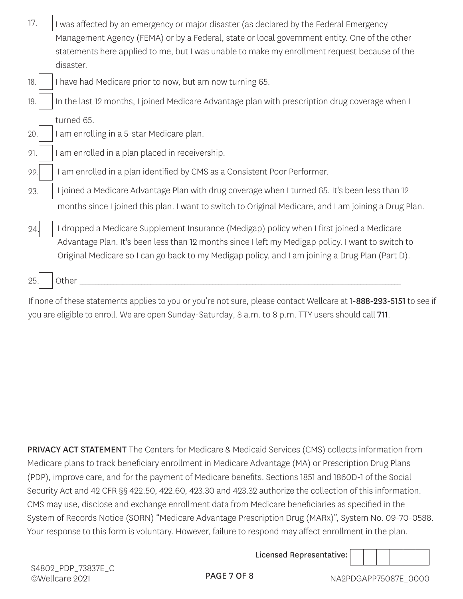| 17. | I was affected by an emergency or major disaster (as declared by the Federal Emergency                    |
|-----|-----------------------------------------------------------------------------------------------------------|
|     | Management Agency (FEMA) or by a Federal, state or local government entity. One of the other              |
|     | statements here applied to me, but I was unable to make my enrollment request because of the<br>disaster. |
| 18. | I have had Medicare prior to now, but am now turning 65.                                                  |
| 19. | In the last 12 months, I joined Medicare Advantage plan with prescription drug coverage when I            |
|     | turned 65.                                                                                                |
| 20. | I am enrolling in a 5-star Medicare plan.                                                                 |
| 21. | I am enrolled in a plan placed in receivership.                                                           |
| 22. | am enrolled in a plan identified by CMS as a Consistent Poor Performer.                                   |
| 23. | I joined a Medicare Advantage Plan with drug coverage when I turned 65. It's been less than 12            |
|     | months since I joined this plan. I want to switch to Original Medicare, and I am joining a Drug Plan.     |
| 24. | I dropped a Medicare Supplement Insurance (Medigap) policy when I first joined a Medicare                 |
|     | Advantage Plan. It's been less than 12 months since I left my Medigap policy. I want to switch to         |
|     | Original Medicare so I can go back to my Medigap policy, and I am joining a Drug Plan (Part D).           |
| 25. | Other                                                                                                     |
|     |                                                                                                           |

If none of these statements applies to you or you're not sure, please contact Wellcare at 1-888-293-5151 to see if you are eligible to enroll. We are open Sunday-Saturday, 8 a.m. to 8 p.m. TTY users should call 711.

PRIVACY ACT STATEMENT The Centers for Medicare & Medicaid Services (CMS) collects information from Medicare plans to track beneficiary enrollment in Medicare Advantage (MA) or Prescription Drug Plans (PDP), improve care, and for the payment of Medicare benefits. Sections 1851 and 1860D-1 of the Social Security Act and 42 CFR §§ 422.50, 422.60, 423.30 and 423.32 authorize the collection of this information. CMS may use, disclose and exchange enrollment data from Medicare beneficiaries as specified in the System of Records Notice (SORN) "Medicare Advantage Prescription Drug (MARx)", System No. 09-70-0588. Your response to this form is voluntary. However, failure to respond may affect enrollment in the plan.